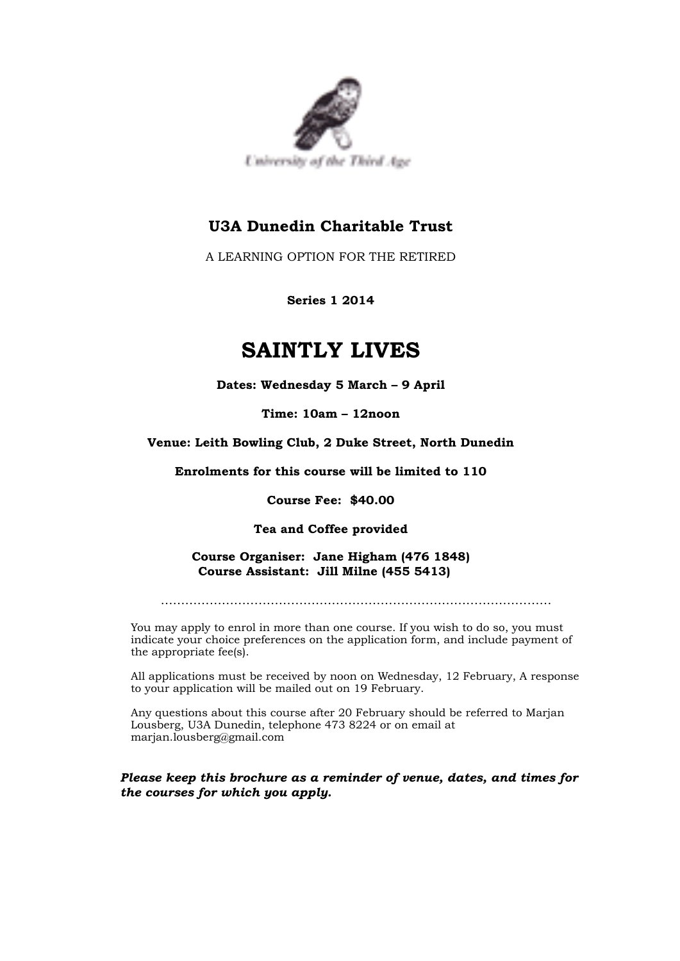

# **U3A Dunedin Charitable Trust**

A LEARNING OPTION FOR THE RETIRED

**Series 1 2014**

# **SAINTLY LIVES**

**Dates: Wednesday 5 March – 9 April**

**Time: 10am – 12noon**

# **Venue: Leith Bowling Club, 2 Duke Street, North Dunedin**

**Enrolments for this course will be limited to 110**

**Course Fee: \$40.00**

## **Tea and Coffee provided**

**Course Organiser: Jane Higham (476 1848) Course Assistant: Jill Milne (455 5413)**

……………………………………………………………………………………

You may apply to enrol in more than one course. If you wish to do so, you must indicate your choice preferences on the application form, and include payment of the appropriate fee(s).

All applications must be received by noon on Wednesday, 12 February, A response to your application will be mailed out on 19 February.

Any questions about this course after 20 February should be referred to Marjan Lousberg, U3A Dunedin, telephone 473 8224 or on email at marjan.lousberg@gmail.com

*Please keep this brochure as a reminder of venue, dates, and times for the courses for which you apply.*